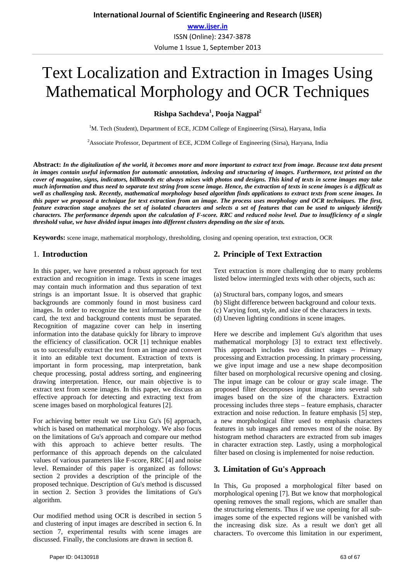# Text Localization and Extraction in Images Using Mathematical Morphology and OCR Techniques

**Rishpa Sachdeva<sup>1</sup> , Pooja Nagpal<sup>2</sup>**

<sup>1</sup>M. Tech (Student), Department of ECE, JCDM College of Engineering (Sirsa), Haryana, India

<sup>2</sup> Associate Professor, Department of ECE, JCDM College of Engineering (Sirsa), Haryana, India

**Abstract:** *In the digitalization of the world, it becomes more and more important to extract text from image. Because text data present in images contain useful information for automatic annotation, indexing and structuring of images. Furthermore, text printed on the cover of magazine, signs, indicators, billboards etc always mixes with photos and designs. This kind of texts in scene images may take much information and thus need to separate text string from scene image. Hence, the extraction of texts in scene images is a difficult as well as challenging task. Recently, mathematical morphology based algorithm finds applications to extract texts from scene images. In this paper we proposed a technique for text extraction from an image. The process uses morphology and OCR techniques. The first, feature extraction stage analyzes the set of isolated characters and selects a set of features that can be used to uniquely identify characters. The performance depends upon the calculation of F-score. RRC and reduced noise level. Due to insufficiency of a single threshold value, we have divided input images into different clusters depending on the size of texts.*

**Keywords:** scene image, mathematical morphology, thresholding, closing and opening operation, text extraction, OCR

## 1. **Introduction**

In this paper, we have presented a robust approach for text extraction and recognition in image. Texts in scene images may contain much information and thus separation of text strings is an important Issue. It is observed that graphic backgrounds are commonly found in most business card images. In order to recognize the text information from the card, the text and background contents must be separated. Recognition of magazine cover can help in inserting information into the database quickly for library to improve the efficiency of classification. OCR [1] technique enables us to successfully extract the text from an image and convert it into an editable text document. Extraction of texts is important in form processing, map interpretation, bank cheque processing, postal address sorting, and engineering drawing interpretation. Hence, our main objective is to extract text from scene images. In this paper, we discuss an effective approach for detecting and extracting text from scene images based on morphological features [2].

For achieving better result we use Lixu Gu's [6] approach, which is based on mathematical morphology. We also focus on the limitations of Gu's approach and compare our method with this approach to achieve better results. The performance of this approach depends on the calculated values of various parameters like F-score, RRC [4] and noise level. Remainder of this paper is organized as follows: section 2 provides a description of the principle of the proposed technique. Description of Gu's method is discussed in section 2. Section 3 provides the limitations of Gu's algorithm.

Our modified method using OCR is described in section 5 and clustering of input images are described in section 6. In section 7, experimental results with scene images are discussed. Finally, the conclusions are drawn in section 8.

## **2. Principle of Text Extraction**

Text extraction is more challenging due to many problems listed below intermingled texts with other objects, such as:

- (a) Structural bars, company logos, and smears
- (b) Slight difference between background and colour texts.
- (c) Varying font, style, and size of the characters in texts.
- (d) Uneven lighting conditions in scene images.

Here we describe and implement Gu's algorithm that uses mathematical morphology [3] to extract text effectively. This approach includes two distinct stages – Primary processing and Extraction processing. In primary processing, we give input image and use a new shape decomposition filter based on morphological recursive opening and closing. The input image can be colour or gray scale image. The proposed filter decomposes input image into several sub images based on the size of the characters. Extraction processing includes three steps – feature emphasis, character extraction and noise reduction. In feature emphasis [5] step, a new morphological filter used to emphasis characters features in sub images and removes most of the noise. By histogram method characters are extracted from sub images in character extraction step. Lastly, using a morphological filter based on closing is implemented for noise reduction.

## **3. Limitation of Gu's Approach**

In This, Gu proposed a morphological filter based on morphological opening [7]. But we know that morphological opening removes the small regions, which are smaller than the structuring elements. Thus if we use opening for all subimages some of the expected regions will be vanished with the increasing disk size. As a result we don't get all characters. To overcome this limitation in our experiment,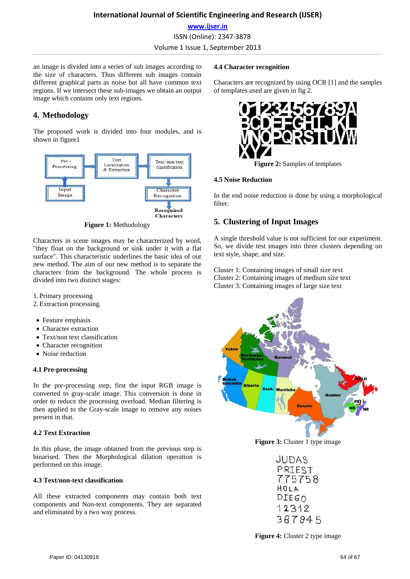an image is divided into a series of sub images according to the size of characters. Thus different sub images contain different graphical parts as noise but all have common text regions. If we intersect these sub-images we obtain an output image which contains only text regions.

# **4. Methodology**

The proposed work is divided into four modules, and is shown in figure1



**Figure 1:** Methodology

Characters in scene images may be characterized by word, "they float on the background or sink under it with a flat surface". This characteristic underlines the basic idea of our new method. The aim of our new method is to separate the characters from the background. The whole process is divided into two distinct stages:

1. Primary processing

- 2.Extraction processing.
- Feature emphasis
- Character extraction
- Text/non text classification
- Character recognition
- Noise reduction

## **4.1 Pre-processing**

In the pre-processing step, first the input RGB image is converted to gray-scale image. This conversion is done in order to reduce the processing overload. Median filtering is then applied to the Gray-scale image to remove any noises present in that.

## **4.2 Text Extraction**

In this phase, the image obtained from the previous step is binarised. Then the Morphological dilation operation is performed on this image.

## **4.3 Text/non-text classification**

All these extracted components may contain both text components and Non-text components. They are separated and eliminated by a two way process.

## **4.4 Character recognition**

Characters are recognized by using OCR [1] and the samples of templates used are given in fig 2.



**Figure 2:** Samples of templates

## **4.5 Noise Reduction**

In the end noise reduction is done by using a morphological filter.

# **5. Clustering of Input Images**

A single threshold value is not sufficient for our experiment. So, we divide test images into three clusters depending on text style, shape, and size.

Cluster 1: Containing images of small size text Cluster 2: Containing images of medium size text Cluster 3: Containing images of large size text



**Figure 3:** Cluster 1 type image

JUDAS PRIEST 775758 HOLA DIEGO 12312 367945

**Figure 4:** Cluster 2 type image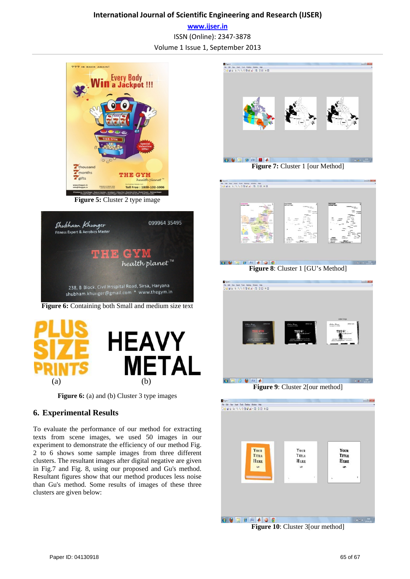## **International Journal of Scientific Engineering and Research (IJSER) www.ijser.in** ISSN (Online): 2347-3878

Volume 1 Issue 1, September 2013



**Figure 5:** Cluster 2 type image



**Figure 6:** Containing both Small and medium size text



**Figure 6:** (a) and (b) Cluster 3 type images

## **6. Experimental Results**

To evaluate the performance of our method for extracting texts from scene images, we used 50 images in our experiment to demonstrate the efficiency of our method Fig. 2 to 6 shows some sample images from three different clusters. The resultant images after digital negative are given in Fig.7 and Fig. 8, using our proposed and Gu's method. Resultant figures show that our method produces less noise than Gu's method. Some results of images of these three clusters are given below:



**Figure 10**: Cluster 3[our method]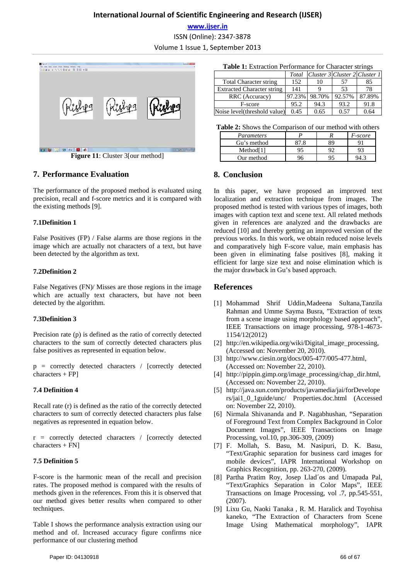## **International Journal of Scientific Engineering and Research (IJSER)**

**www.ijser.in**

ISSN (Online): 2347-3878

Volume 1 Issue 1, September 2013



**Figure 11:** Cluster 3[our method]

## **7. Performance Evaluation**

The performance of the proposed method is evaluated using precision, recall and f-score metrics and it is compared with the existing methods [9].

## **7.1Definition 1**

False Positives (FP) / False alarms are those regions in the image which are actually not characters of a text, but have been detected by the algorithm as text.

## **7.2Definition 2**

False Negatives (FN)/ Misses are those regions in the image which are actually text characters, but have not been detected by the algorithm.

## **7.3Definition 3**

Precision rate (p) is defined as the ratio of correctly detected characters to the sum of correctly detected characters plus false positives as represented in equation below.

p = correctly detected characters / [correctly detected characters + FP]

## **7.4 Definition 4**

Recall rate (r) is defined as the ratio of the correctly detected characters to sum of correctly detected characters plus false negatives as represented in equation below.

r = correctly detected characters / [correctly detected  $characters + FN$ ]

## **7.5 Definition 5**

F-score is the harmonic mean of the recall and precision rates. The proposed method is compared with the results of methods given in the references. From this it is observed that our method gives better results when compared to other techniques.

Table I shows the performance analysis extraction using our method and of. Increased accuracy figure confirms nice performance of our clustering method

|  |  | Table 1: Extraction Performance for Character strings |  |  |  |
|--|--|-------------------------------------------------------|--|--|--|
|--|--|-------------------------------------------------------|--|--|--|

|                                   | Total  | Cluster 3 Cluster 2 Cluster 1 |        |        |
|-----------------------------------|--------|-------------------------------|--------|--------|
| <b>Total Character string</b>     | 152    | 10                            | 57     | 85     |
| <b>Extracted Character string</b> | 141    |                               | 53     | 78     |
| RRC (Accuracy)                    | 97.23% | 98.70%                        | 92.57% | 87.89% |
| F-score                           | 95.2   | 94.3                          | 93.2   | 91.8   |
| Noise level(threshold value)      | 0.45   | 0.65                          | 0.57   | 0.64   |

**Table 2:** Shows the Comparison of our method with others

| Parameters            |  | F-score |
|-----------------------|--|---------|
| Gu's method           |  |         |
| Method <sup>[1]</sup> |  |         |
| Our method            |  |         |

## **8. Conclusion**

In this paper, we have proposed an improved text localization and extraction technique from images. The proposed method is tested with various types of images, both images with caption text and scene text. All related methods given in references are analyzed and the drawbacks are reduced [10] and thereby getting an improved version of the previous works. In this work, we obtain reduced noise levels and comparatively high F-score value, main emphasis has been given in eliminating false positives [8], making it efficient for large size text and noise elimination which is the major drawback in Gu's based approach.

## **References**

- [1] Mohammad Shrif Uddin,Madeena Sultana,Tanzila Rahman and Umme Sayma Busra, "Extraction of texts from a scene image using morphology based approach", IEEE Transactions on image processing, 978-1-4673- 1154/12(2012)
- [2] http://en.wikipedia.org/wiki/Digital image processing, (Accessed on: November 20, 2010).
- [3] http://www.ciesin.org/docs/005-477/005-477.html, (Accessed on: November 22, 2010).
- [4] http://pippin.gimp.org/image\_processing/chap\_dir.html, (Accessed on: November 22, 2010).
- [5] http://java.sun.com/products/javamedia/jai/forDevelope rs/jai1\_0\_1guide/unc/ Properties.doc.html (Accessed on: November 22, 2010).
- [6] Nirmala Shivananda and P. Nagabhushan, "Separation of Foreground Text from Complex Background in Color Document Images", IEEE Transactions on Image Processing, vol.10, pp.306-309, (2009)
- [7] F. Mollah, S. Basu, M. Nasipuri, D. K. Basu, "Text/Graphic separation for business card images for mobile devices", IAPR International Workshop on Graphics Recognition, pp. 263-270, (2009).
- [8] Partha Pratim Roy, Josep Llad´os and Umapada Pal, "Text/Graphics Separation in Color Maps", IEEE Transactions on Image Processing, vol .7, pp.545-551, (2007).
- [9] Lixu Gu, Naoki Tanaka , R. M. Haralick and Toyohisa kaneko, "The Extraction of Characters from Scene Image Using Mathematical morphology", IAPR